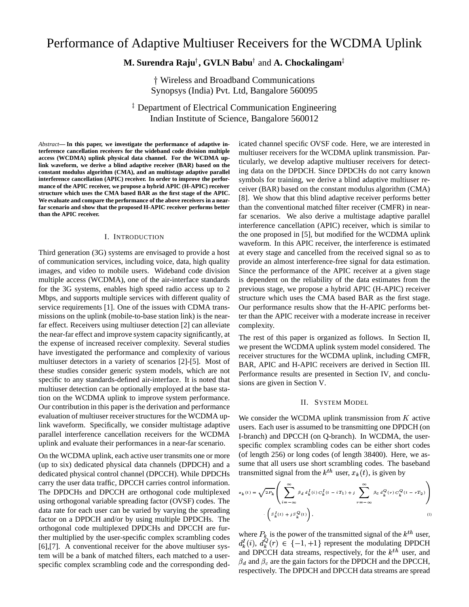# Performance of Adaptive Multiuser Receivers for the WCDMA Uplink

# $\mathbf{M}.$  **Surendra Raju** $^\dagger,$  **GVLN Babu** $^\dagger$  **and**  $\mathbf{A}.$  **Chockalingam** $^\ddagger$

- Wireless and Broadband Communications Synopsys (India) Pvt. Ltd, Bangalore 560095

 Department of Electrical Communication Engineering Indian Institute of Science, Bangalore 560012

*Abstract***— In this paper, we investigate the performance of adaptive interference cancellation receivers for the wideband code division multiple access (WCDMA) uplink physical data channel. For the WCDMA uplink waveform, we derive a blind adaptive receiver (BAR) based on the constant modulus algorithm (CMA), and an multistage adaptive parallel interference cancellation (APIC) receiver. In order to improve the performance of the APIC receiver, we propose a hybrid APIC (H-APIC) receiver structure which uses the CMA based BAR as the first stage of the APIC. We evaluate and compare the performance of the above receivers in a nearfar scenario and show that the proposed H-APIC receiver performs better than the APIC receiver.**

## I. INTRODUCTION

Third generation (3G) systems are envisaged to provide a host of communication services, including voice, data, high quality images, and video to mobile users. Wideband code division multiple access (WCDMA), one of the air-interface standards for the 3G systems, enables high speed radio access up to 2 Mbps, and supports multiple services with different quality of service requirements [1]. One of the issues with CDMA transmissions on the uplink (mobile-to-base station link) is the nearfar effect. Receivers using multiuser detection [2] can alleviate the near-far effect and improve system capacity significantly, at the expense of increased receiver complexity. Several studies have investigated the performance and complexity of various multiuser detectors in a variety of scenarios [2]-[5]. Most of these studies consider generic system models, which are not specific to any standards-defined air-interface. It is noted that multiuser detection can be optionally employed at the base station on the WCDMA uplink to improve system performance. Our contribution in this paper is the derivation and performance evaluation of multiuser receiver structures for the WCDMA uplink waveform. Specifically, we consider multistage adaptive parallel interference cancellation receivers for the WCDMA uplink and evaluate their performances in a near-far scenario.

On the WCDMA uplink, each active user transmits one or more (up to six) dedicated physical data channels (DPDCH) and a dedicated physical control channel (DPCCH). While DPDCHs carry the user data traffic, DPCCH carries control information. The DPDCHs and DPCCH are orthogonal code multiplexed using orthogonal variable spreading factor (OVSF) codes. The data rate for each user can be varied by varying the spreading factor on a DPDCH and/or by using multiple DPDCHs. The orthogonal code multiplexed DPDCHs and DPCCH are further multiplied by the user-specific complex scrambling codes [6],[7]. A conventional receiver for the above multiuser system will be a bank of matched filters, each matched to a userspecific complex scrambling code and the corresponding dedicated channel specific OVSF code. Here, we are interested in multiuser receivers for the WCDMA uplink transmission. Particularly, we develop adaptive multiuser receivers for detecting data on the DPDCH. Since DPDCHs do not carry known symbols for training, we derive a blind adaptive multiuser receiver (BAR) based on the constant modulus algorithm (CMA) [8]. We show that this blind adaptive receiver performs better than the conventional matched filter receiver (CMFR) in nearfar scenarios. We also derive a multistage adaptive parallel interference cancellation (APIC) receiver, which is similar to the one proposed in [5], but modified for the WCDMA uplink waveform. In this APIC receiver, the interference is estimated at every stage and cancelled from the received signal so as to provide an almost interference-free signal for data estimation. Since the performance of the APIC receiver at a given stage is dependent on the reliability of the data estimates from the previous stage, we propose a hybrid APIC (H-APIC) receiver structure which uses the CMA based BAR as the first stage. Our performance results show that the H-APIC performs better than the APIC receiver with a moderate increase in receiver complexity.

The rest of this paper is organized as follows. In Section II, we present the WCDMA uplink system model considered. The receiver structures for the WCDMA uplink, including CMFR, BAR, APIC and H-APIC receivers are derived in Section III. Performance results are presented in Section IV, and conclusions are given in Section V.

#### II. SYSTEM MODEL

We consider the WCDMA uplink transmission from  $K$  active users. Each user is assumed to be transmitting one DPDCH (on I-branch) and DPCCH (on Q-branch). In WCDMA, the userspecific complex scrambling codes can be either short codes (of length 256) or long codes (of length 38400). Here, we assume that all users use short scrambling codes. The baseband transmitted signal from the  $k^{th}$  user,  $x_k(t)$ , is given by

$$
\sigma_k(t) = \sqrt{2P_k} \left( \sum_{i = -\infty}^{\infty} \beta_d d_k^I(i) C_k^I(t - iT_1) + j \sum_{r = -\infty}^{\infty} \beta_c d_k^Q(r) C_k^Q(t - rT_2) \right)
$$

$$
\left( S_k^I(t) + j S_k^Q(t) \right), \tag{1}
$$

where  $P_k$  is the power of the transmitted signal of the  $k^{th}$  user, IKJ  $L_k^I(i)$ ,  $d_k^{\mathcal{U}}(r) \in \{-1,+1\}$  represent the modulating DPDCH and DPCCH data streams, respectively, for the  $k^{th}$  user, and  $\beta_d$  and  $\beta_c$  are the gain factors for the DPDCH and the DPCCH, respectively. The DPDCH and DPCCH data streams are spread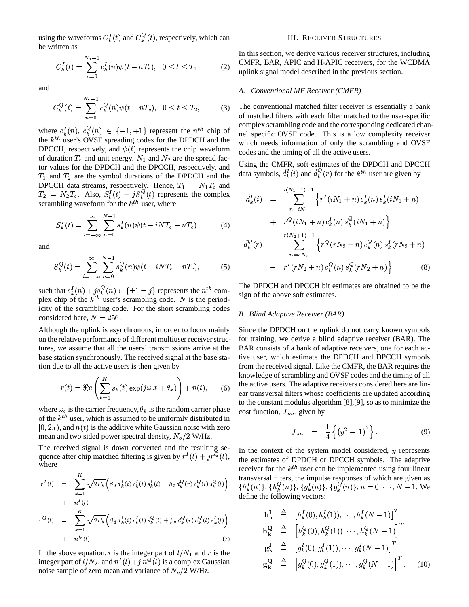using the waveforms  $C_k^I(t)$  and  $C_k^Q(t)$ ,  $L_k^I(t)$  and  $C_k^Q(t)$ , respective  $\mathcal{Q}_k(t)$ , respectively, which can be written as

$$
C_k^I(t) = \sum_{n=0}^{N_1 - 1} c_k^I(n)\psi(t - nT_c), \quad 0 \le t \le T_1
$$
 (2)

and

$$
C_k^Q(t) = \sum_{n=0}^{N_2-1} c_k^Q(n)\psi(t - nT_c), \quad 0 \le t \le T_2,
$$
 (3)

where  $c_k^I(n)$ ,  $c_k^Q$ the  $k^{th}$  user's OVSF spreading codes for the DPDCH and the  $d_k(n), c_k^Q(n) \in \{-1, +1\}$  represent the  $n^{th}$  chip of<br>weak's OVSE expecting each far the DPDCU and the DPCCH, respectively, and  $\psi(t)$  represents the chip waveform of duration  $T_c$  and unit energy.  $N_1$  and  $N_2$  are the spread factor values for the DPDCH and the DPCCH, respectively, and  $T_1$  and  $T_2$  are the symbol durations of the DPDCH and the DPCCH data streams, respectively. Hence,  $T_1 = N_1 T_c$  and  $T_2 = N_2 T_c$ . Also,  $S_k^I(t) + jS_k^Q(t)$  $d_k(t) + jS_k^Q(t)$  represents the complex scrambling waveform for the  $k^{th}$  user, where

$$
S_k^I(t) = \sum_{i = -\infty}^{\infty} \sum_{n = 0}^{N-1} s_k^I(n) \psi(t - iNT_c - nT_c)
$$
 (4)

and

$$
S_k^Q(t) = \sum_{i=-\infty}^{\infty} \sum_{n=0}^{N-1} s_k^Q(n) \psi(t - iNT_c - nT_c),
$$
 (5)

such that  $s_k^I(n) + j s_k^Q(n) \in \{\pm 1 \pm \}$ <br>plex chip of the *k*<sup>th</sup> user's scrambli  $\cdots$  $\frac{d}{dx}(n) + j s_k^Q(n) \in {\pm 1 \pm j}$  represents the  $n^{th}$  com-<br>of the lift weak sampling and a N is the pariod plex chip of the  $k^{th}$  user's scrambling code. N is the periodicity of the scrambling code. For the short scrambling codes considered here,  $N = 256$ .

Although the uplink is asynchronous, in order to focus mainly on the relative performance of different multiuser receiverstructures, we assume that all the users' transmissions arrive at the base station synchronously. The received signal at the base station due to all the active users is then given by

$$
r(t) = \Re e \left( \sum_{k=1}^{K} s_k(t) \exp(j\omega_c t + \theta_k) \right) + n(t), \quad (6)
$$

where  $\omega_c$  is the carrier frequency,  $\theta_k$  is the random carrier phase of the  $k^{th}$  user, which is assumed to be uniformly distributed in  $[0, 2\pi)$ , and  $n(t)$  is the additive white Gaussian noise with zero mean and two sided power spectral density,  $N_{o}/2$  W/Hz.

The received signal is down converted and the resulting sequence after chip matched filtering is given by  $r^{T}(l) + jr^{Q}(l)$ , the exwhere

$$
r^{I}(l) = \sum_{k=1}^{K} \sqrt{2P_{k}} \left( \beta_{d} d_{k}^{I}(i) c_{k}^{I}(l) s_{k}^{I}(l) - \beta_{c} d_{k}^{Q}(r) c_{k}^{Q}(l) s_{k}^{Q}(l) \right) + n^{I}(l) r^{Q}(l) = \sum_{k=1}^{K} \sqrt{2P_{k}} \left( \beta_{d} d_{k}^{I}(i) c_{k}^{I}(l) s_{k}^{Q}(l) + \beta_{c} d_{k}^{Q}(r) c_{k}^{Q}(l) s_{k}^{I}(l) \right) + n^{Q}(l)
$$
(7)

In the above equation, i is the integer part of  $l/N_1$  and r is the integer part of  $l/N_2$ , and  $n^I(l)+j \; n^Q(l)$  is a complex Gaussian noise sample of zero mean and variance of  $N_o/2$  W/Hz.

#### III. RECEIVER STRUCTURES

In this section, we derive various receiver structures, including CMFR, BAR, APIC and H-APIC receivers, for the WCDMA uplink signal model described in the previous section.

# *A. Conventional MF Receiver (CMFR)*

The conventional matched filter receiver is essentially a bank of matched filters with each filter matched to the user-specific complex scrambling code and the corresponding dedicated channel specific OVSF code. This is a low complexity receiver which needs information of only the scrambling and OVSF codes and the timing of all the active users.

Using the CMFR, soft estimates of the DPDCH and DPCCH data symbols,  $d_k^I(i)$  and  $d_k^Q(r)$  for the  $k^{th}$  user are given by

$$
\hat{d}_{k}^{I}(i) = \sum_{n=iN_{1}}^{i(N_{1}+1)-1} \left\{ r^{I}(iN_{1}+n) c_{k}^{I}(n) s_{k}^{I}(iN_{1}+n) + r^{Q}(iN_{1}+n) c_{k}^{I}(n) s_{k}^{Q}(iN_{1}+n) \right\}
$$

$$
\hat{d}_{k}^{Q}(r) = \sum_{n=rN_{2}}^{r(N_{2}+1)-1} \left\{ r^{Q}(rN_{2}+n) c_{k}^{Q}(n) s_{k}^{I}(rN_{2}+n) - r^{I}(rN_{2}+n) c_{k}^{Q}(n) s_{k}^{Q}(rN_{2}+n) \right\}.
$$
(8)

The DPDCH and DPCCH bit estimates are obtained to be the sign of the above soft estimates.

#### *B. Blind Adaptive Receiver (BAR)*

Since the DPDCH on the uplink do not carry known symbols for training, we derive a blind adaptive receiver (BAR). The BAR consists of a bank of adaptive receivers, one for each active user, which estimate the DPDCH and DPCCH symbols from the received signal. Like the CMFR, the BAR requires the knowledge of scrambling and OVSF codes and the timing of all the active users. The adaptive receivers considered here are linear transversal filters whose coefficients are updated according to the constant modulus algorithm [8],[9], so as to minimize the cost function,  $J_{cm}$ , given by

$$
J_{cm} = \frac{1}{4} \left\{ \left( y^2 - 1 \right)^2 \right\}. \tag{9}
$$

where the estimates of DPDCH or DPCCH symbols. The adaptive receiver for the  $k^{th}$  user can be implemented using four linear transversal filters, the impulse responses of which are given as In the context of the system model considered,  $y$  represents  $\{h_k^l(n)\},\{h_k^Q(n)\},\{g_k^l(n)\},\{g_k^Q(n)\},\, n=0,\cdots,N-1.$  We define the following vectors:

$$
\mathbf{h}_{\mathbf{k}}^{\mathbf{I}} \triangleq [h_{k}^{I}(0), h_{k}^{I}(1)), \cdots, h_{k}^{I}(N-1)]^{T}
$$
\n
$$
\mathbf{h}_{\mathbf{k}}^{\mathbf{Q}} \triangleq [h_{k}^{Q}(0), h_{k}^{Q}(1)), \cdots, h_{k}^{Q}(N-1)]^{T}
$$
\n
$$
\mathbf{g}_{\mathbf{k}}^{\mathbf{I}} \triangleq [g_{k}^{I}(0), g_{k}^{I}(1)), \cdots, g_{k}^{I}(N-1)]^{T}
$$
\n
$$
\mathbf{g}_{\mathbf{k}}^{\mathbf{Q}} \triangleq [g_{k}^{Q}(0), g_{k}^{Q}(1)), \cdots, g_{k}^{Q}(N-1)]^{T}.
$$
\n(10)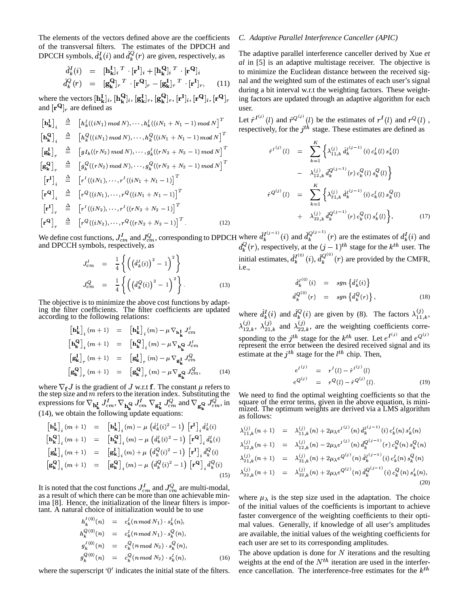The elements of the vectors defined above are the coefficients of the transversal filters. The estimates of the DPDCH and DPCCH symbols,  $\hat{d}_k^I(i)$  and  $\hat{d}_k^Q(r)$  are given, respectively, as

$$
\hat{d}_{k}^{I}(i) = [\mathbf{h}_{k}^{I}]_{i}^{T} \cdot [\mathbf{r}^{I}]_{i} + [\mathbf{h}_{k}^{Q}]_{i}^{T} \cdot [\mathbf{r}^{Q}]_{i}
$$
\n
$$
\hat{d}_{k}^{Q}(r) = [\mathbf{g}_{k}^{Q}]_{r}^{T} \cdot [\mathbf{r}^{Q}]_{r} - [\mathbf{g}_{k}^{I}]_{r}^{T} \cdot [\mathbf{r}^{I}]_{r}, \quad (11)
$$

where the vectors  $[\mathbf{h}_{\mathbf{k}}^{\text{I}}]_i$ ,  $[\mathbf{h}_{\mathbf{k}}^{\text{Q}}]_i$ ,  $[\mathbf{g}_{\mathbf{k}}^{\text{I}}]_r$ ,  $[\mathbf{g}_{\mathbf{k}}^{\text{Q}}]_r$ ,  $[\mathbf{r}^{\text{I}}]_i$ ,  $[\mathbf{r}^{\text{Q}}]_i$ ,  $[\mathbf{r}^{\text{Q}}]_r$  and  $[\mathbf{r}^{\text{Q}}]_r$  are defined as

$$
\begin{array}{rcl}\n\left[\mathbf{h}_{\mathbf{k}}^{I}\right]_{i} & \stackrel{\triangle}{=} & \left[h_{k}^{I}((iN_{1}) \mod N), \cdots, h_{k}^{I}((iN_{1} + N_{1} - 1) \mod N)\right]^{T} \\
\left[\mathbf{h}_{\mathbf{k}}^{Q}\right]_{i} & \stackrel{\triangle}{=} & \left[h_{k}^{Q}((iN_{1}) \mod N), \cdots, h_{k}^{Q}((iN_{1} + N_{1} - 1) \mod N)\right]^{T} \\
\left[\mathbf{g}_{\mathbf{k}}^{I}\right]_{r} & \stackrel{\triangle}{=} & \left[gI_{k}((rN_{2}) \mod N), \cdots, g_{k}^{I}((rN_{2} + N_{2} - 1) \mod N)\right]^{T} \\
\left[\mathbf{g}_{\mathbf{k}}^{Q}\right]_{r} & \stackrel{\triangle}{=} & \left[g_{k}^{Q}((rN_{2}) \mod N), \cdots, g_{k}^{Q}((rN_{2} + N_{2} - 1) \mod N)\right]^{T} \\
\left[\mathbf{r}^{I}\right]_{i} & \stackrel{\triangle}{=} & \left[r^{I}((iN_{1}), \cdots, r^{I}((iN_{1} + N_{1} - 1))\right]^{T} \\
\left[\mathbf{r}^{Q}\right]_{i} & \stackrel{\triangle}{=} & \left[r^{Q}((iN_{1}), \cdots, r^{Q}((iN_{1} + N_{1} - 1))\right]^{T} \\
\left[\mathbf{r}^{Q}\right]_{r} & \stackrel{\triangle}{=} & \left[r^{Q}((iN_{2}), \cdots, r^{I}((rN_{2} + N_{2} - 1))\right]^{T} \\
\left[\mathbf{r}^{Q}\right]_{r} & \stackrel{\triangle}{=} & \left[r^{Q}((iN_{2}), \cdots, r^{Q}((rN_{2} + N_{2} - 1))\right]^{T} \\
\end{array}.
$$
\n(12)

We define cost functions,  $J_{cm}^I$  and  $J_{cm}^Q$ , corresponding to DPDCH where  $\hat{d}_k^{I^{(j-1)}}(i)$  and  $\hat{d}_k^{Q^{(j-1)}}(r)$  are the estimates of  $d_k^I(i)$  and and DPCCH symbols, respectively, as  $d_k^Q(r)$ , respectively, at th

$$
J_{cm}^{I} = \frac{1}{4} \left\{ \left( \left( \hat{d}_{k}^{I}(i) \right)^{2} - 1 \right)^{2} \right\}
$$
  

$$
J_{cm}^{Q} = \frac{1}{4} \left\{ \left( \left( \hat{d}_{k}^{Q}(i) \right)^{2} - 1 \right)^{2} \right\}.
$$
 (13)

The objective is to minimize the above cost functions by adapting the filter coefficients. The filter coefficients are updated according to the following relations:

$$
\begin{aligned}\n\left[\mathbf{h}_{\mathbf{k}}^{\mathbf{I}}\right]_{i}(m+1) &= \left[\mathbf{h}_{\mathbf{k}}^{\mathbf{I}}\right]_{i}(m) - \mu \nabla_{\mathbf{h}_{\mathbf{k}}^{\mathbf{I}}} J_{cm}^{I} \\
\left[\mathbf{h}_{\mathbf{k}}^{\mathbf{Q}}\right]_{i}(m+1) &= \left[\mathbf{h}_{\mathbf{k}}^{\mathbf{Q}}\right]_{i}(m) - \mu \nabla_{\mathbf{h}_{\mathbf{k}}^{\mathbf{Q}}} J_{cm}^{I} \\
\left[\mathbf{g}_{\mathbf{k}}^{\mathbf{I}}\right]_{r}(m+1) &= \left[\mathbf{g}_{\mathbf{k}}^{\mathbf{I}}\right]_{r}(m) - \mu \nabla_{\mathbf{g}_{\mathbf{k}}^{\mathbf{I}}} J_{cm}^{Q} \\
\left[\mathbf{g}_{\mathbf{k}}^{\mathbf{Q}}\right]_{r}(m+1) &= \left[\mathbf{g}_{\mathbf{k}}^{\mathbf{Q}}\right]_{r}(m) - \mu \nabla_{\mathbf{g}_{\mathbf{k}}^{\mathbf{Q}}} J_{cm}^{Q},\n\end{aligned} \tag{14}
$$

where  $\nabla_{f} J$  is the gradient of J w.r.t **f**. The constant  $\mu$  refers to the step size and m refers to the iteration index. Substituting the<br>expressions for  $\nabla_{\mathbf{h}_{\mathbf{k}}^{L}} J_{cm}^{I}$ ,  $\nabla_{\mathbf{h}_{\mathbf{k}}^{Q}} J_{cm}^{I}$  and  $\nabla_{\mathbf{g}_{\mathbf{k}}^{Q}} J_{cm}^{Q}$ , in<br>(14), we obtain the following update equatio

$$
\begin{array}{rcl}\n\left[\mathbf{h}_{\mathbf{k}}^{I}\right]_{i}(m+1) & = & \left[\mathbf{h}_{\mathbf{k}}^{I}\right]_{i}(m) - \mu\left(\hat{d}_{k}^{I}(i)^{2} - 1\right)\left[\mathbf{r}^{I}\right]_{i}\hat{d}_{k}^{I}(i) \\
\left[\mathbf{h}_{\mathbf{k}}^{Q}\right]_{i}(m+1) & = & \left[\mathbf{h}_{\mathbf{k}}^{Q}\right]_{i}(m) - \mu\left(\hat{d}_{k}^{I}(i)^{2} - 1\right)\left[\mathbf{r}^{Q}\right]_{i}\hat{d}_{k}^{I}(i) \\
\left[\mathbf{g}_{\mathbf{k}}^{I}\right]_{i}(m+1) & = & \left[\mathbf{g}_{\mathbf{k}}^{I}\right]_{i}(m) + \mu\left(\hat{d}_{k}^{Q}(i)^{2} - 1\right)\left[\mathbf{r}^{I}\right]_{i}\hat{d}_{k}^{Q}(i) \\
\left[\mathbf{g}_{\mathbf{k}}^{Q}\right]_{i}(m+1) & = & \left[\mathbf{g}_{\mathbf{k}}^{Q}\right]_{i}(m) - \mu\left(\hat{d}_{k}^{Q}(i)^{2} - 1\right)\left[\mathbf{r}^{Q}\right]_{i}\hat{d}_{k}^{Q}(i)\n\end{array}
$$
\n(15)

It is noted that the cost functions  $J_{cm}^I$  and  $J_{cm}^Q$  are multi-modal, as a result of which there can be more than one achievable minima [8]. Hence, the initialization of the linear filters is important. A natural choice of initialization would be to use

$$
h_k^{(0)}(n) = c_k^l(n \mod N_1) \cdot s_k^l(n),
$$
  
\n
$$
h_k^{(0)}(n) = c_k^l(n \mod N_1) \cdot s_k^Q(n),
$$
  
\n
$$
g_k^{(0)}(n) = c_k^Q(n \mod N_2) \cdot s_k^Q(n),
$$
  
\n
$$
g_k^{(0)}(n) = c_k^Q(n \mod N_2) \cdot s_k^l(n),
$$
  
\n(16)

where the superscript  $\theta'$  indicates the initial state of the filters.

# C. Adaptive Parallel Interference Canceller (APIC)

The adaptive parallel interference canceller derived by Xue et al in [5] is an adaptive multistage receiver. The objective is to minimize the Euclidean distance between the received signal and the weighted sum of the estimates of each user's signal during a bit interval w.r.t the weighting factors. These weighting factors are updated through an adaptive algorithm for each  $\overline{\text{user}}$ 

Let  $\hat{r}^{I^{(j)}}(l)$  and  $\hat{r}^{Q^{(j)}}(l)$  be the estimates of  $r^I(l)$  and  $r^Q(l)$ , respectively, for the  $i^{th}$  stage. These estimates are defined as

$$
\hat{r}^{I(j)}(l) = \sum_{k=1}^{K} \left\{ \lambda_{11,k}^{(j)} \, \hat{d}_k^{I(j-1)}(i) \, c_k^I(l) \, s_k^I(l) \right.\n- \lambda_{12,k}^{(j)} \, \hat{d}_k^{Q(j-1)}(r) \, c_k^Q(l) \, s_k^Q(l) \right\}\n\hat{r}^{Q(j)}(l) = \sum_{k=1}^{K} \left\{ \lambda_{21,k}^{(j)} \, \hat{d}_k^{I(j-1)}(i) \, c_k^I(l) \, s_k^Q(l) \right.\n+ \lambda_{22,k}^{(j)} \, \hat{d}_k^{Q(j-1)}(r) \, c_k^Q(l) \, s_k^I(l) \right\}, \tag{17}
$$

initial estimates,  $\hat{d}_k^{I^{(0)}}(i)$ ,  $\hat{d}_k^{Q^{(0)}}(r)$  are provided by the CMFR,

$$
\hat{d}_{k}^{I^{(0)}}(i) = sgn\left\{\hat{d}_{k}^{I}(i)\right\} \n\hat{d}_{k}^{Q^{(0)}}(r) = sgn\left\{\hat{d}_{k}^{Q}(r)\right\},
$$
\n(18)

where  $\hat{d}_k^I(i)$  and  $\hat{d}_k^Q(i)$  are given by (8). The factors  $\lambda_{11,k}^{(j)}$ ,  $\lambda_{12,k}^{(j)}$ ,  $\lambda_{21,k}^{(j)}$  and  $\lambda_{22,k}^{(j)}$ , are the weighting coefficients corresponding to the  $j^{th}$  stage for the  $k^{th}$  user. Let  $e^{I^{(j)}}$  and  $e^{Q^{(j)}}$  represent the error between the desired received signal and its estimate at the  $j<sup>th</sup>$  stage for the  $l<sup>th</sup>$  chip. Then,

$$
e^{I^{(j)}} = r^{I}(l) - \hat{r}^{I^{(j)}}(l)
$$
  
\n
$$
e^{Q^{(j)}} = r^{Q}(l) - \hat{r}^{Q^{(j)}}(l).
$$
 (19)

We need to find the optimal weighting coefficients so that the square of the error terms, given in the above equation, is mini-<br>mized. The optimum weights are derived via a LMS algorithm as follows:

$$
\lambda_{11,k}^{(j)}(n+1) = \lambda_{11,k}^{(j)}(n) + 2\mu_{\lambda}e^{I^{(j)}}(n) d_k^{I^{(j-1)}}(i) c_k^{I}(n) s_k^{I}(n)
$$
  
\n
$$
\lambda_{12,k}^{(j)}(n+1) = \lambda_{12,k}^{(j)}(n) - 2\mu_{\lambda}e^{I^{(j)}}(n) d_k^{Q^{(j-1)}}(r) c_k^{Q}(n) s_k^{Q}(n)
$$
  
\n
$$
\lambda_{21,k}^{(j)}(n+1) = \lambda_{21,k}^{(j)}(n) + 2\mu_{\lambda}e^{Q^{(j)}}(n) d_k^{I^{(j-1)}}(i) c_k^{I}(n) s_k^{Q}(n)
$$
  
\n
$$
\lambda_{22,k}^{(j)}(n+1) = \lambda_{22,k}^{(j)}(n) + 2\mu_{\lambda}e^{Q^{(j)}}(n) d_k^{Q^{(j-1)}}(i) c_k^{Q}(n) s_k^{I}(n),
$$
  
\n(20)

where  $\mu_{\lambda}$  is the step size used in the adaptation. The choice of the initial values of the coefficients is important to achieve faster convergence of the weighting coefficients to their optimal values. Generally, if knowledge of all user's amplitudes are available, the initial values of the weighting coefficients for each user are set to its corresponding amplitudes.

The above updation is done for  $N$  iterations and the resulting weights at the end of the  $N^{th}$  iteration are used in the interference cancellation. The interference-free estimates for the  $k^{th}$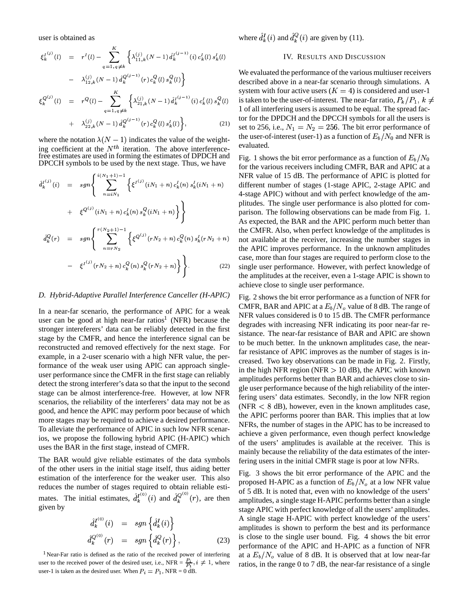user is obtained as

$$
\xi_k^{I^{(j)}}(l) = r^I(l) - \sum_{q=1, q \neq k}^K \left\{ \lambda_{11,k}^{(j)}(N-1) \hat{d}_k^{I^{(j-1)}}(i) c_k^I(l) s_k^I(l) \right\}
$$
  
\n
$$
- \lambda_{12,k}^{(j)}(N-1) \hat{d}_k^{Q^{(j-1)}}(r) c_k^Q(l) s_k^Q(l) \right\}
$$
  
\n
$$
\xi_k^{Q^{(j)}}(l) = r^Q(l) - \sum_{q=1, q \neq k}^K \left\{ \lambda_{21,k}^{(j)}(N-1) \hat{d}_k^{I^{(j-1)}}(i) c_k^I(l) s_k^Q(l) \right\}
$$
  
\n
$$
+ \lambda_{22,k}^{(j)}(N-1) \hat{d}_k^{Q^{(j-1)}}(r) c_k^Q(l) s_k^I(l) \right\}, \qquad (21)
$$

$$
- \lambda_{22,k}^{(j)}(N-1) d_k^{Q^{(j-1)}}(r) c_k^Q(t) s_k^I(t) \Big\},
$$
 (21)

where the notation  $\lambda(N-1)$  indicates the value of the weighting coefficient at the  $N^{th}$  iteration. The above interference-<br>free estimates are used in forming the estimates of DPDCH and<br>DPCCH symbols to be used by the next stage. Thus, we have

$$
\hat{d}_{k}^{I(j)}(i) = sgn\left\{\sum_{n=iN_{1}}^{i(N_{1}+1)-1} \left\{\xi^{I^{(j)}}(iN_{1}+n)c_{k}^{I}(n)s_{k}^{I}(iN_{1}+n) + \xi^{Q^{(j)}}(iN_{1}+n)c_{k}^{I}(n)s_{k}^{Q}(iN_{1}+n)\right\}\right\}
$$
\n
$$
\hat{d}_{k}^{Q}(r) = sgn\left\{\sum_{n=rN_{2}}^{r(N_{2}+1)-1} \left\{\xi^{Q^{(j)}}(rN_{2}+n)c_{k}^{Q}(n)s_{k}^{I}(rN_{2}+n) - \xi^{I^{(j)}}(rN_{2}+n)c_{k}^{Q}(n)s_{k}^{Q}(rN_{2}+n)\right\}\right\}.
$$
\n(22)

# D. Hybrid-Adaptive Parallel Interference Canceller (H-APIC)

In a near-far scenario, the performance of APIC for a weak user can be good at high near-far ratios<sup>1</sup> (NFR) because the stronger intereferers' data can be reliably detected in the first stage by the CMFR, and hence the interference signal can be reconstructed and removed effectively for the next stage. For example, in a 2-user scenario with a high NFR value, the performance of the weak user using APIC can approach singleuser performance since the CMFR in the first stage can reliably detect the strong interferer's data so that the input to the second stage can be almost interference-free. However, at low NFR scenarios, the reliability of the interferers' data may not be as good, and hence the APIC may perform poor because of which more stages may be required to achieve a desired performance. To alleviate the performance of APIC in such low NFR scenarios, we propose the following hybrid APIC (H-APIC) which uses the BAR in the first stage, instead of CMFR.

The BAR would give reliable estimates of the data symbols of the other users in the initial stage itself, thus aiding better estimation of the interference for the weaker user. This also reduces the number of stages required to obtain reliable estimates. The initial estimates,  $\hat{d}_k^{I^{(0)}}(i)$  and  $\hat{d}_k^{Q^{(0)}}(r)$ , are then given by

$$
\begin{aligned}\n\hat{d}_k^{I^{(0)}}(i) &= \operatorname{sgn}\left\{\hat{d}_k^I(i)\right\} \\
\hat{d}_k^{Q^{(0)}}(r) &= \operatorname{sgn}\left\{\hat{d}_k^Q(r)\right\},\n\end{aligned} \tag{23}
$$

<sup>1</sup>Near-Far ratio is defined as the ratio of the received power of interfering user to the received power of the desired user, i.e., NFR =  $\frac{P_i}{P_1}$ ,  $i \neq 1$ , where user-1 is taken as the desired user. When  $P_i = P_1$ , NFR = 0 dB.

where  $\hat{d}_{k}^{I}(i)$  and  $\hat{d}_{k}^{Q}(i)$  are given by (11).

#### **IV. RESULTS AND DISCUSSION**

We evaluated the performance of the various multiuser receivers described above in a near-far scenario through simulations. A system with four active users  $(K = 4)$  is considered and user-1 is taken to be the user-of-interest. The near-far ratio,  $P_k/P_1$ ,  $k \neq$ 1 of all interfering users is assumed to be equal. The spread factor for the DPDCH and the DPCCH symbols for all the users is set to 256, i.e.,  $N_1 = N_2 = 256$ . The bit error performance of the user-of-interest (user-1) as a function of  $E_b/N_0$  and NFR is evaluated.

Fig. 1 shows the bit error performance as a function of  $E_b/N_0$ for the various receivers including CMFR, BAR and APIC at a NFR value of 15 dB. The performance of APIC is plotted for different number of stages (1-stage APIC, 2-stage APIC and 4-stage APIC) without and with perfect knowledge of the amplitudes. The single user performance is also plotted for comparison. The following observations can be made from Fig. 1. As expected, the BAR and the APIC perform much better than the CMFR. Also, when perfect knowledge of the amplitudes is not available at the receiver, increasing the number stages in the APIC improves performance. In the unknown amplitudes case, more than four stages are required to perform close to the single user performance. However, with perfect knowledge of the amplitudes at the receiver, even a 1-stage APIC is shown to achieve close to single user performance.

Fig. 2 shows the bit error performance as a function of NFR for CMFR, BAR and APIC at a  $E_b/N_o$  value of 8 dB. The range of NFR values considered is 0 to 15 dB. The CMFR performance degrades with increasing NFR indicating its poor near-far resistance. The near-far resistance of BAR and APIC are shown to be much better. In the unknown amplitudes case, the nearfar resistance of APIC improves as the number of stages is increased. Two key observations can be made in Fig. 2. Firstly, in the high NFR region (NFR  $> 10$  dB), the APIC with known amplitudes performs better than BAR and achieves close to single user performance because of the high reliability of the interfering users' data estimates. Secondly, in the low NFR region (NFR  $\langle 8$  dB), however, even in the known amplitudes case, the APIC performs poorer than BAR. This implies that at low NFRs, the number of stages in the APIC has to be increased to achieve a given performance, even though perfect knowledge of the users' amplitudes is available at the receiver. This is mainly because the reliability of the data estimates of the interfering users in the initial CMFR stage is poor at low NFRs.

Fig. 3 shows the bit error performance of the APIC and the proposed H-APIC as a function of  $E_b/N_a$  at a low NFR value of 5 dB. It is noted that, even with no knowledge of the users' amplitudes, a single stage H-APIC performs better than a single stage APIC with perfect knowledge of all the users' amplitudes. A single stage H-APIC with perfect knowledge of the users' amplitudes is shown to perform the best and its performance is close to the single user bound. Fig. 4 shows the bit error performance of the APIC and H-APIC as a function of NFR at a  $E_b/N_o$  value of 8 dB. It is observed that at low near-far ratios, in the range 0 to 7 dB, the near-far resistance of a single